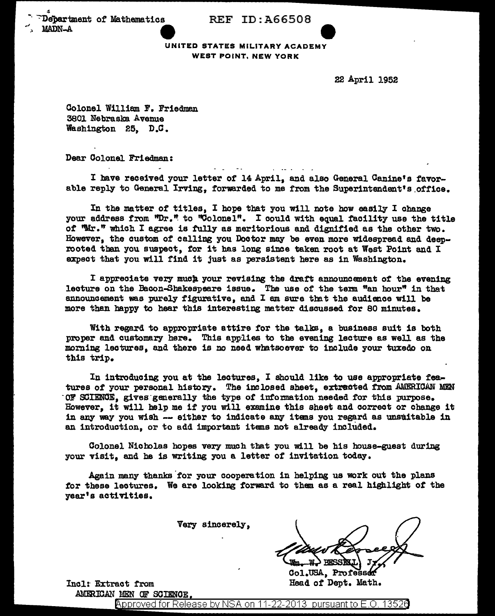$\ddot{\phantom{0}}$ Performant of Mathematics REF ID:A66508

UNITED STATES MILITARY ACADEMY WEST POINT, NEW YORK

22 April 1952

Colonel William F. Friedman 3801 Nebraska Avenue Washington 25, D.C.

Dear Colonel Friedman:

I bave received your letter of 14April, and also General Canine's favorable reply to General Irving, forwarded to me from the Superintendent's office.

In the matter of titles, I hope that you will note how easily I change your address from "Dr." to "Colonel". I could with equal facility use the title *ot* "Mr." which I agree is fully as meritorious and dignified as the other two. However, the custom of calling you Doctor may be even more Widespread and deeprooted than you suspect, for it has long since taken root at West Point and I expect that you will find it just as persistent here as in Washington.

I appreciate very much your revising the draft announcement of the evening lecture on the Bacon-Shakespeare issue. The use of the term "an hour" in that announcement was purely figurative, and I am sure tmt the audience will be more than happy to hear this interesting matter discussed tor 80 minutes.

With regard to appropriate attire for the talks, a business suit is both proper and customary here. This applies to tbe evening lecture as well as the morning lectures, and there is no need whatsoever to include your tuxedo on this trip.

In introducing you at the lectures, I should like to use appropriate features of your personal history. The 1nclosed sheet, extracted from AMERICAN MEN' OF SCIENCE, gives generally the type of information needed for this purpose. However, it will help me if you will examine this sheet and correct or change it in any way you wish -- either to indicate any itans you regard as unsuitable in an introduction, or to add important 1 tams not already included.

Colonel Nicholas hopes very much that you will be his house-guest during your visit, and he is writing you a letter of invitation today.

Again many thanks for your cooperation in helping us work out the plans for these lectures. We are looking forward to them as a real highlight of the year's activities.

Very sincerely,

Col.USA, Profess Head of Dept. Math.

Incl: Extract from AMERICAN MEN OF SCIENCE.

Approved for Release by NSA on 11-22-2013 pursuant to E.O. 13526